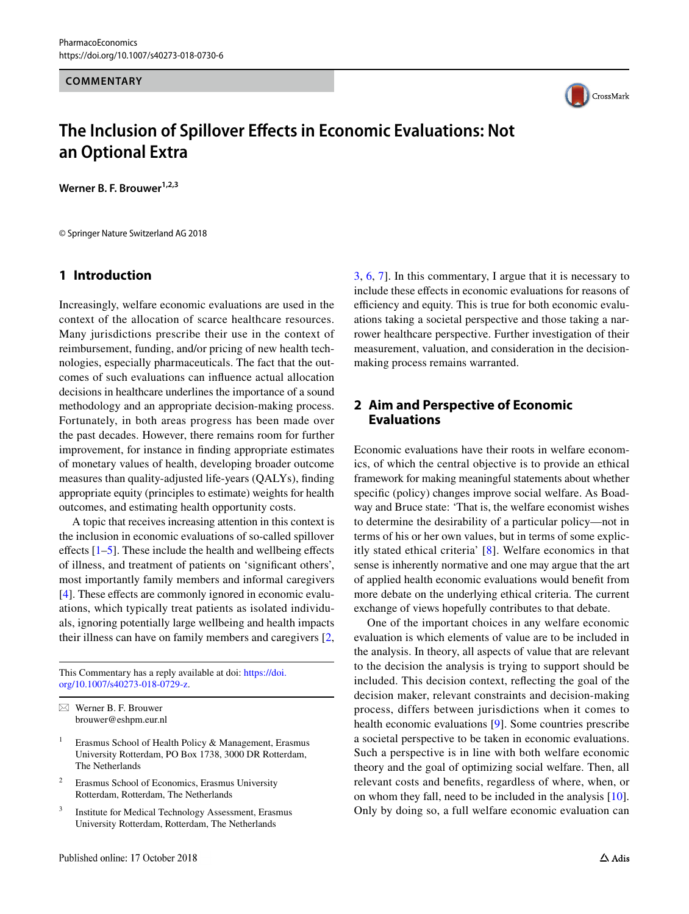### **COMMENTARY**



# **The Inclusion of Spillover Efects in Economic Evaluations: Not an Optional Extra**

Werner B. F. Brouwer<sup>1,2,3</sup>

© Springer Nature Switzerland AG 2018

## **1 Introduction**

Increasingly, welfare economic evaluations are used in the context of the allocation of scarce healthcare resources. Many jurisdictions prescribe their use in the context of reimbursement, funding, and/or pricing of new health technologies, especially pharmaceuticals. The fact that the outcomes of such evaluations can infuence actual allocation decisions in healthcare underlines the importance of a sound methodology and an appropriate decision-making process. Fortunately, in both areas progress has been made over the past decades. However, there remains room for further improvement, for instance in fnding appropriate estimates of monetary values of health, developing broader outcome measures than quality-adjusted life-years (QALYs), fnding appropriate equity (principles to estimate) weights for health outcomes, and estimating health opportunity costs.

A topic that receives increasing attention in this context is the inclusion in economic evaluations of so-called spillover effects  $[1-5]$  $[1-5]$ . These include the health and wellbeing effects of illness, and treatment of patients on 'signifcant others', most importantly family members and informal caregivers [\[4](#page-4-2)]. These effects are commonly ignored in economic evaluations, which typically treat patients as isolated individuals, ignoring potentially large wellbeing and health impacts their illness can have on family members and caregivers [[2,](#page-4-3)

This Commentary has a reply available at doi: [https://doi.](https://doi.org/10.1007/s40273-018-0729-z) [org/10.1007/s40273-018-0729-z](https://doi.org/10.1007/s40273-018-0729-z).

- Erasmus School of Health Policy & Management, Erasmus University Rotterdam, PO Box 1738, 3000 DR Rotterdam, The Netherlands
- <sup>2</sup> Erasmus School of Economics, Erasmus University Rotterdam, Rotterdam, The Netherlands
- <sup>3</sup> Institute for Medical Technology Assessment, Erasmus University Rotterdam, Rotterdam, The Netherlands

[3](#page-4-4), [6,](#page-4-5) [7](#page-5-0)]. In this commentary, I argue that it is necessary to include these efects in economic evaluations for reasons of efficiency and equity. This is true for both economic evaluations taking a societal perspective and those taking a narrower healthcare perspective. Further investigation of their measurement, valuation, and consideration in the decisionmaking process remains warranted.

# **2 Aim and Perspective of Economic Evaluations**

Economic evaluations have their roots in welfare economics, of which the central objective is to provide an ethical framework for making meaningful statements about whether specifc (policy) changes improve social welfare. As Boadway and Bruce state: 'That is, the welfare economist wishes to determine the desirability of a particular policy—not in terms of his or her own values, but in terms of some explicitly stated ethical criteria' [[8\]](#page-5-1). Welfare economics in that sense is inherently normative and one may argue that the art of applied health economic evaluations would beneft from more debate on the underlying ethical criteria. The current exchange of views hopefully contributes to that debate.

One of the important choices in any welfare economic evaluation is which elements of value are to be included in the analysis. In theory, all aspects of value that are relevant to the decision the analysis is trying to support should be included. This decision context, refecting the goal of the decision maker, relevant constraints and decision-making process, differs between jurisdictions when it comes to health economic evaluations [[9\]](#page-5-2). Some countries prescribe a societal perspective to be taken in economic evaluations. Such a perspective is in line with both welfare economic theory and the goal of optimizing social welfare. Then, all relevant costs and benefts, regardless of where, when, or on whom they fall, need to be included in the analysis [\[10](#page-5-3)]. Only by doing so, a full welfare economic evaluation can

 $\boxtimes$  Werner B. F. Brouwer brouwer@eshpm.eur.nl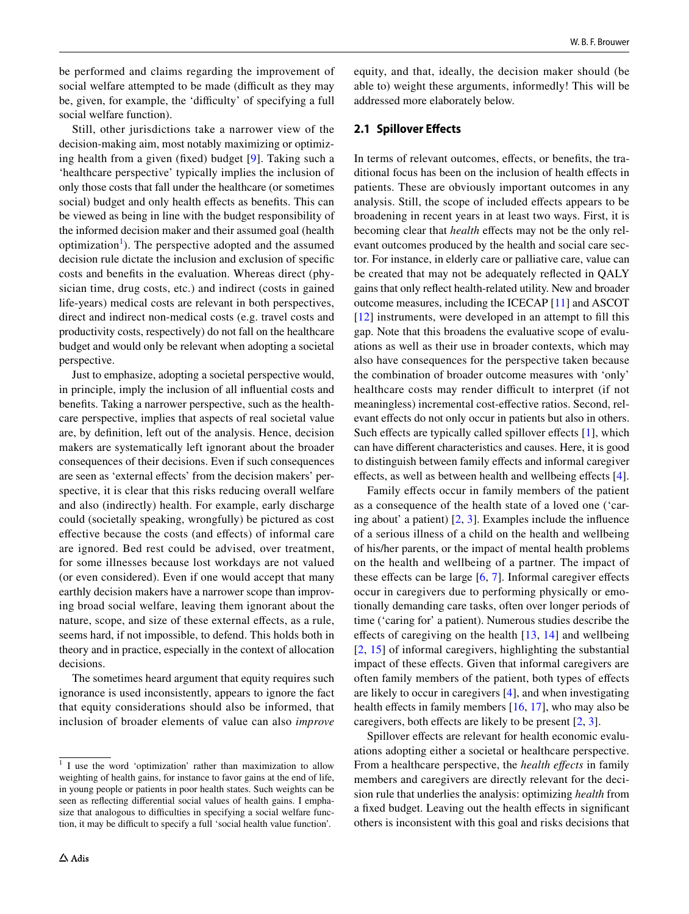be performed and claims regarding the improvement of social welfare attempted to be made (difficult as they may be, given, for example, the 'difficulty' of specifying a full social welfare function).

Still, other jurisdictions take a narrower view of the decision-making aim, most notably maximizing or optimizing health from a given (fxed) budget [[9\]](#page-5-2). Taking such a 'healthcare perspective' typically implies the inclusion of only those costs that fall under the healthcare (or sometimes social) budget and only health effects as benefits. This can be viewed as being in line with the budget responsibility of the informed decision maker and their assumed goal (health optimization<sup>[1](#page-1-0)</sup>). The perspective adopted and the assumed decision rule dictate the inclusion and exclusion of specifc costs and benefts in the evaluation. Whereas direct (physician time, drug costs, etc.) and indirect (costs in gained life-years) medical costs are relevant in both perspectives, direct and indirect non-medical costs (e.g. travel costs and productivity costs, respectively) do not fall on the healthcare budget and would only be relevant when adopting a societal perspective.

Just to emphasize, adopting a societal perspective would, in principle, imply the inclusion of all infuential costs and benefts. Taking a narrower perspective, such as the healthcare perspective, implies that aspects of real societal value are, by defnition, left out of the analysis. Hence, decision makers are systematically left ignorant about the broader consequences of their decisions. Even if such consequences are seen as 'external efects' from the decision makers' perspective, it is clear that this risks reducing overall welfare and also (indirectly) health. For example, early discharge could (societally speaking, wrongfully) be pictured as cost efective because the costs (and efects) of informal care are ignored. Bed rest could be advised, over treatment, for some illnesses because lost workdays are not valued (or even considered). Even if one would accept that many earthly decision makers have a narrower scope than improving broad social welfare, leaving them ignorant about the nature, scope, and size of these external effects, as a rule, seems hard, if not impossible, to defend. This holds both in theory and in practice, especially in the context of allocation decisions.

The sometimes heard argument that equity requires such ignorance is used inconsistently, appears to ignore the fact that equity considerations should also be informed, that inclusion of broader elements of value can also *improve*

equity, and that, ideally, the decision maker should (be able to) weight these arguments, informedly! This will be addressed more elaborately below.

### **2.1 Spillover Efects**

In terms of relevant outcomes, efects, or benefts, the traditional focus has been on the inclusion of health efects in patients. These are obviously important outcomes in any analysis. Still, the scope of included effects appears to be broadening in recent years in at least two ways. First, it is becoming clear that *health* effects may not be the only relevant outcomes produced by the health and social care sector. For instance, in elderly care or palliative care, value can be created that may not be adequately refected in QALY gains that only refect health-related utility. New and broader outcome measures, including the ICECAP [[11\]](#page-5-4) and ASCOT [[12\]](#page-5-5) instruments, were developed in an attempt to fill this gap. Note that this broadens the evaluative scope of evaluations as well as their use in broader contexts, which may also have consequences for the perspective taken because the combination of broader outcome measures with 'only' healthcare costs may render difficult to interpret (if not meaningless) incremental cost-efective ratios. Second, relevant effects do not only occur in patients but also in others. Such effects are typically called spillover effects [\[1](#page-4-0)], which can have diferent characteristics and causes. Here, it is good to distinguish between family efects and informal caregiver effects, as well as between health and wellbeing effects [\[4](#page-4-2)].

Family effects occur in family members of the patient as a consequence of the health state of a loved one ('caring about' a patient) [[2,](#page-4-3) [3](#page-4-4)]. Examples include the infuence of a serious illness of a child on the health and wellbeing of his/her parents, or the impact of mental health problems on the health and wellbeing of a partner. The impact of these effects can be large  $[6, 7]$  $[6, 7]$  $[6, 7]$  $[6, 7]$  $[6, 7]$ . Informal caregiver effects occur in caregivers due to performing physically or emotionally demanding care tasks, often over longer periods of time ('caring for' a patient). Numerous studies describe the effects of caregiving on the health  $[13, 14]$  $[13, 14]$  $[13, 14]$  $[13, 14]$  and wellbeing [[2,](#page-4-3) [15](#page-5-8)] of informal caregivers, highlighting the substantial impact of these efects. Given that informal caregivers are often family members of the patient, both types of efects are likely to occur in caregivers [\[4](#page-4-2)], and when investigating health effects in family members  $[16, 17]$  $[16, 17]$ , who may also be caregivers, both effects are likely to be present  $[2, 3]$  $[2, 3]$  $[2, 3]$  $[2, 3]$ .

Spillover effects are relevant for health economic evaluations adopting either a societal or healthcare perspective. From a healthcare perspective, the *health efects* in family members and caregivers are directly relevant for the decision rule that underlies the analysis: optimizing *health* from a fxed budget. Leaving out the health efects in signifcant others is inconsistent with this goal and risks decisions that

<span id="page-1-0"></span><sup>&</sup>lt;sup>1</sup> I use the word 'optimization' rather than maximization to allow weighting of health gains, for instance to favor gains at the end of life, in young people or patients in poor health states. Such weights can be seen as refecting diferential social values of health gains. I emphasize that analogous to difficulties in specifying a social welfare function, it may be difficult to specify a full 'social health value function'.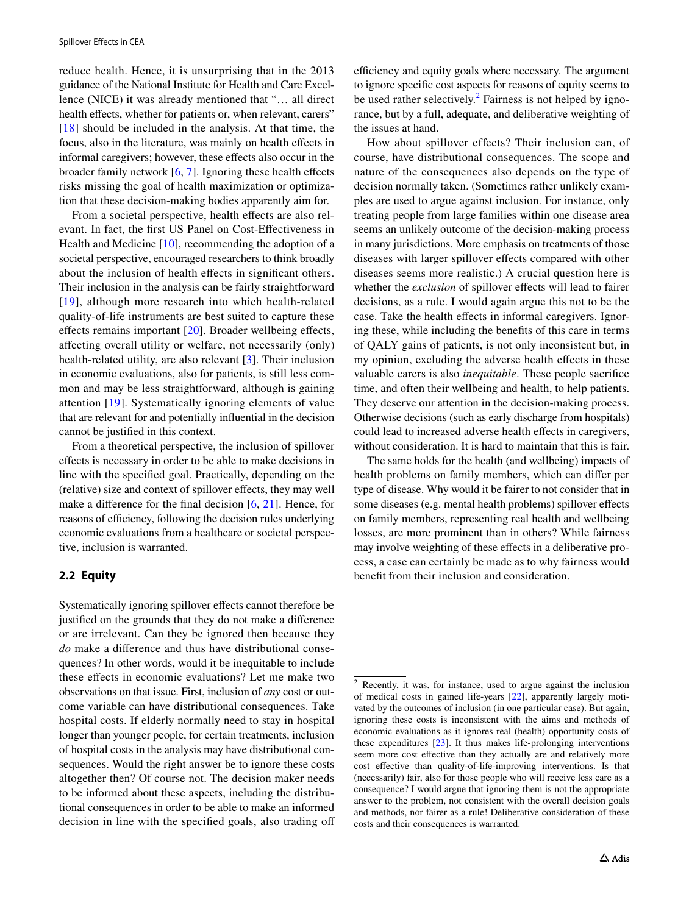reduce health. Hence, it is unsurprising that in the 2013 guidance of the National Institute for Health and Care Excellence (NICE) it was already mentioned that "… all direct health effects, whether for patients or, when relevant, carers" [[18\]](#page-5-11) should be included in the analysis. At that time, the focus, also in the literature, was mainly on health efects in informal caregivers; however, these efects also occur in the broader family network  $[6, 7]$  $[6, 7]$  $[6, 7]$  $[6, 7]$ . Ignoring these health effects risks missing the goal of health maximization or optimization that these decision-making bodies apparently aim for.

From a societal perspective, health effects are also relevant. In fact, the frst US Panel on Cost-Efectiveness in Health and Medicine [[10\]](#page-5-3), recommending the adoption of a societal perspective, encouraged researchers to think broadly about the inclusion of health efects in signifcant others. Their inclusion in the analysis can be fairly straightforward [[19](#page-5-12)], although more research into which health-related quality-of-life instruments are best suited to capture these effects remains important  $[20]$  $[20]$  $[20]$ . Broader wellbeing effects, afecting overall utility or welfare, not necessarily (only) health-related utility, are also relevant [[3\]](#page-4-4). Their inclusion in economic evaluations, also for patients, is still less common and may be less straightforward, although is gaining attention [[19](#page-5-12)]. Systematically ignoring elements of value that are relevant for and potentially infuential in the decision cannot be justifed in this context.

From a theoretical perspective, the inclusion of spillover efects is necessary in order to be able to make decisions in line with the specifed goal. Practically, depending on the (relative) size and context of spillover efects, they may well make a diference for the fnal decision [[6](#page-4-5), [21\]](#page-5-14). Hence, for reasons of efficiency, following the decision rules underlying economic evaluations from a healthcare or societal perspective, inclusion is warranted.

### **2.2 Equity**

Systematically ignoring spillover effects cannot therefore be justifed on the grounds that they do not make a diference or are irrelevant. Can they be ignored then because they *do* make a diference and thus have distributional consequences? In other words, would it be inequitable to include these efects in economic evaluations? Let me make two observations on that issue. First, inclusion of *any* cost or outcome variable can have distributional consequences. Take hospital costs. If elderly normally need to stay in hospital longer than younger people, for certain treatments, inclusion of hospital costs in the analysis may have distributional consequences. Would the right answer be to ignore these costs altogether then? Of course not. The decision maker needs to be informed about these aspects, including the distributional consequences in order to be able to make an informed decision in line with the specifed goals, also trading of efficiency and equity goals where necessary. The argument to ignore specifc cost aspects for reasons of equity seems to be used rather selectively.<sup>[2](#page-2-0)</sup> Fairness is not helped by ignorance, but by a full, adequate, and deliberative weighting of the issues at hand.

How about spillover effects? Their inclusion can, of course, have distributional consequences. The scope and nature of the consequences also depends on the type of decision normally taken. (Sometimes rather unlikely examples are used to argue against inclusion. For instance, only treating people from large families within one disease area seems an unlikely outcome of the decision-making process in many jurisdictions. More emphasis on treatments of those diseases with larger spillover efects compared with other diseases seems more realistic.) A crucial question here is whether the *exclusion* of spillover effects will lead to fairer decisions, as a rule. I would again argue this not to be the case. Take the health effects in informal caregivers. Ignoring these, while including the benefts of this care in terms of QALY gains of patients, is not only inconsistent but, in my opinion, excluding the adverse health effects in these valuable carers is also *inequitable*. These people sacrifce time, and often their wellbeing and health, to help patients. They deserve our attention in the decision-making process. Otherwise decisions (such as early discharge from hospitals) could lead to increased adverse health efects in caregivers, without consideration. It is hard to maintain that this is fair.

The same holds for the health (and wellbeing) impacts of health problems on family members, which can difer per type of disease. Why would it be fairer to not consider that in some diseases (e.g. mental health problems) spillover effects on family members, representing real health and wellbeing losses, are more prominent than in others? While fairness may involve weighting of these efects in a deliberative process, a case can certainly be made as to why fairness would beneft from their inclusion and consideration.

<span id="page-2-0"></span><sup>2</sup> Recently, it was, for instance, used to argue against the inclusion of medical costs in gained life-years [[22](#page-5-15)], apparently largely motivated by the outcomes of inclusion (in one particular case). But again, ignoring these costs is inconsistent with the aims and methods of economic evaluations as it ignores real (health) opportunity costs of these expenditures [[23](#page-5-16)]. It thus makes life-prolonging interventions seem more cost efective than they actually are and relatively more cost efective than quality-of-life-improving interventions. Is that (necessarily) fair, also for those people who will receive less care as a consequence? I would argue that ignoring them is not the appropriate answer to the problem, not consistent with the overall decision goals and methods, nor fairer as a rule! Deliberative consideration of these costs and their consequences is warranted.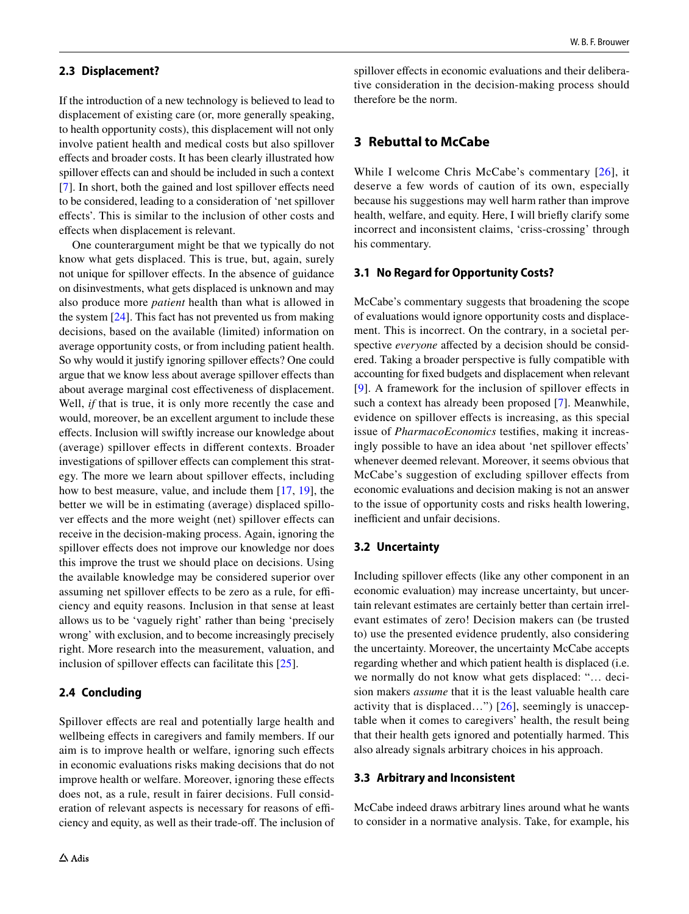### **2.3 Displacement?**

If the introduction of a new technology is believed to lead to displacement of existing care (or, more generally speaking, to health opportunity costs), this displacement will not only involve patient health and medical costs but also spillover efects and broader costs. It has been clearly illustrated how spillover effects can and should be included in such a context [\[7](#page-5-0)]. In short, both the gained and lost spillover efects need to be considered, leading to a consideration of 'net spillover efects'. This is similar to the inclusion of other costs and efects when displacement is relevant.

One counterargument might be that we typically do not know what gets displaced. This is true, but, again, surely not unique for spillover efects. In the absence of guidance on disinvestments, what gets displaced is unknown and may also produce more *patient* health than what is allowed in the system [[24\]](#page-5-17). This fact has not prevented us from making decisions, based on the available (limited) information on average opportunity costs, or from including patient health. So why would it justify ignoring spillover effects? One could argue that we know less about average spillover efects than about average marginal cost efectiveness of displacement. Well, *if* that is true, it is only more recently the case and would, moreover, be an excellent argument to include these efects. Inclusion will swiftly increase our knowledge about (average) spillover efects in diferent contexts. Broader investigations of spillover effects can complement this strategy. The more we learn about spillover efects, including how to best measure, value, and include them [[17,](#page-5-10) [19](#page-5-12)], the better we will be in estimating (average) displaced spillover effects and the more weight (net) spillover effects can receive in the decision-making process. Again, ignoring the spillover effects does not improve our knowledge nor does this improve the trust we should place on decisions. Using the available knowledge may be considered superior over assuming net spillover effects to be zero as a rule, for efficiency and equity reasons. Inclusion in that sense at least allows us to be 'vaguely right' rather than being 'precisely wrong' with exclusion, and to become increasingly precisely right. More research into the measurement, valuation, and inclusion of spillover effects can facilitate this  $[25]$  $[25]$ .

### **2.4 Concluding**

Spillover effects are real and potentially large health and wellbeing efects in caregivers and family members. If our aim is to improve health or welfare, ignoring such efects in economic evaluations risks making decisions that do not improve health or welfare. Moreover, ignoring these effects does not, as a rule, result in fairer decisions. Full consideration of relevant aspects is necessary for reasons of efficiency and equity, as well as their trade-of. The inclusion of spillover effects in economic evaluations and their deliberative consideration in the decision-making process should therefore be the norm.

# **3 Rebuttal to McCabe**

While I welcome Chris McCabe's commentary [[26](#page-5-19)], it deserve a few words of caution of its own, especially because his suggestions may well harm rather than improve health, welfare, and equity. Here, I will briefly clarify some incorrect and inconsistent claims, 'criss-crossing' through his commentary.

### **3.1 No Regard for Opportunity Costs?**

McCabe's commentary suggests that broadening the scope of evaluations would ignore opportunity costs and displacement. This is incorrect. On the contrary, in a societal perspective *everyone* affected by a decision should be considered. Taking a broader perspective is fully compatible with accounting for fxed budgets and displacement when relevant [[9\]](#page-5-2). A framework for the inclusion of spillover efects in such a context has already been proposed [\[7](#page-5-0)]. Meanwhile, evidence on spillover efects is increasing, as this special issue of *PharmacoEconomics* testifes, making it increasingly possible to have an idea about 'net spillover efects' whenever deemed relevant. Moreover, it seems obvious that McCabe's suggestion of excluding spillover efects from economic evaluations and decision making is not an answer to the issue of opportunity costs and risks health lowering, inefficient and unfair decisions.

### **3.2 Uncertainty**

Including spillover efects (like any other component in an economic evaluation) may increase uncertainty, but uncertain relevant estimates are certainly better than certain irrelevant estimates of zero! Decision makers can (be trusted to) use the presented evidence prudently, also considering the uncertainty. Moreover, the uncertainty McCabe accepts regarding whether and which patient health is displaced (i.e. we normally do not know what gets displaced: "… decision makers *assume* that it is the least valuable health care activity that is displaced…") [[26\]](#page-5-19), seemingly is unacceptable when it comes to caregivers' health, the result being that their health gets ignored and potentially harmed. This also already signals arbitrary choices in his approach.

#### **3.3 Arbitrary and Inconsistent**

McCabe indeed draws arbitrary lines around what he wants to consider in a normative analysis. Take, for example, his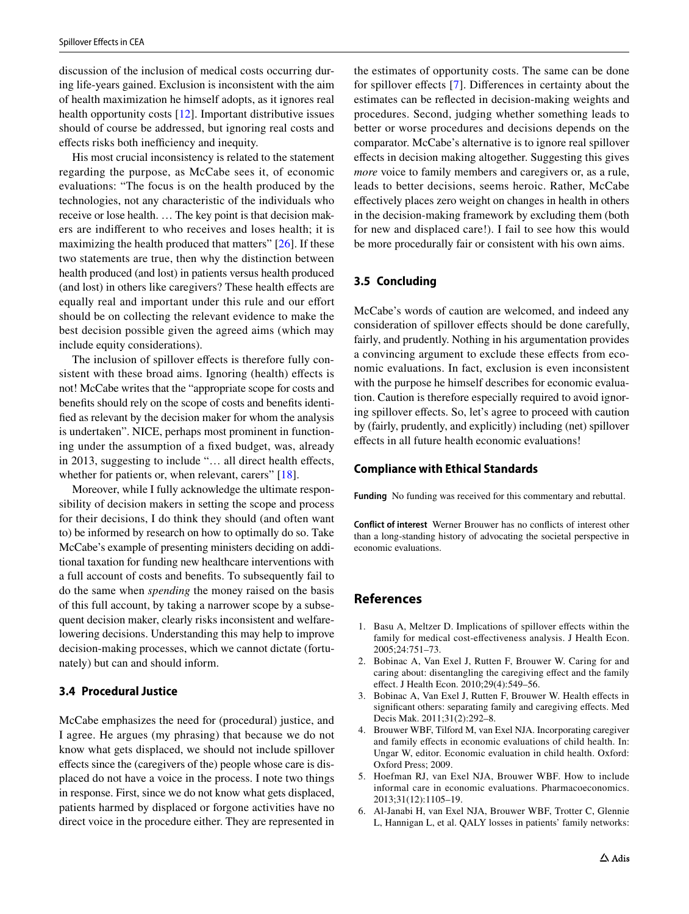discussion of the inclusion of medical costs occurring during life-years gained. Exclusion is inconsistent with the aim of health maximization he himself adopts, as it ignores real health opportunity costs [[12\]](#page-5-5). Important distributive issues should of course be addressed, but ignoring real costs and effects risks both inefficiency and inequity.

His most crucial inconsistency is related to the statement regarding the purpose, as McCabe sees it, of economic evaluations: "The focus is on the health produced by the technologies, not any characteristic of the individuals who receive or lose health. … The key point is that decision makers are indiferent to who receives and loses health; it is maximizing the health produced that matters" [[26](#page-5-19)]. If these two statements are true, then why the distinction between health produced (and lost) in patients versus health produced (and lost) in others like caregivers? These health efects are equally real and important under this rule and our effort should be on collecting the relevant evidence to make the best decision possible given the agreed aims (which may include equity considerations).

The inclusion of spillover effects is therefore fully consistent with these broad aims. Ignoring (health) effects is not! McCabe writes that the "appropriate scope for costs and benefts should rely on the scope of costs and benefts identifed as relevant by the decision maker for whom the analysis is undertaken". NICE, perhaps most prominent in functioning under the assumption of a fxed budget, was, already in 2013, suggesting to include "... all direct health effects, whether for patients or, when relevant, carers" [[18\]](#page-5-11).

Moreover, while I fully acknowledge the ultimate responsibility of decision makers in setting the scope and process for their decisions, I do think they should (and often want to) be informed by research on how to optimally do so. Take McCabe's example of presenting ministers deciding on additional taxation for funding new healthcare interventions with a full account of costs and benefts. To subsequently fail to do the same when *spending* the money raised on the basis of this full account, by taking a narrower scope by a subsequent decision maker, clearly risks inconsistent and welfarelowering decisions. Understanding this may help to improve decision-making processes, which we cannot dictate (fortunately) but can and should inform.

#### **3.4 Procedural Justice**

McCabe emphasizes the need for (procedural) justice, and I agree. He argues (my phrasing) that because we do not know what gets displaced, we should not include spillover efects since the (caregivers of the) people whose care is displaced do not have a voice in the process. I note two things in response. First, since we do not know what gets displaced, patients harmed by displaced or forgone activities have no direct voice in the procedure either. They are represented in the estimates of opportunity costs. The same can be done for spillover efects [[7](#page-5-0)]. Diferences in certainty about the estimates can be refected in decision-making weights and procedures. Second, judging whether something leads to better or worse procedures and decisions depends on the comparator. McCabe's alternative is to ignore real spillover efects in decision making altogether. Suggesting this gives *more* voice to family members and caregivers or, as a rule, leads to better decisions, seems heroic. Rather, McCabe efectively places zero weight on changes in health in others in the decision-making framework by excluding them (both for new and displaced care!). I fail to see how this would be more procedurally fair or consistent with his own aims.

### **3.5 Concluding**

McCabe's words of caution are welcomed, and indeed any consideration of spillover efects should be done carefully, fairly, and prudently. Nothing in his argumentation provides a convincing argument to exclude these efects from economic evaluations. In fact, exclusion is even inconsistent with the purpose he himself describes for economic evaluation. Caution is therefore especially required to avoid ignoring spillover efects. So, let's agree to proceed with caution by (fairly, prudently, and explicitly) including (net) spillover effects in all future health economic evaluations!

#### **Compliance with Ethical Standards**

**Funding** No funding was received for this commentary and rebuttal.

**Conflict of interest** Werner Brouwer has no conficts of interest other than a long-standing history of advocating the societal perspective in economic evaluations.

### **References**

- <span id="page-4-0"></span>1. Basu A, Meltzer D. Implications of spillover efects within the family for medical cost-efectiveness analysis. J Health Econ. 2005;24:751–73.
- <span id="page-4-3"></span>2. Bobinac A, Van Exel J, Rutten F, Brouwer W. Caring for and caring about: disentangling the caregiving efect and the family efect. J Health Econ. 2010;29(4):549–56.
- <span id="page-4-4"></span>3. Bobinac A, Van Exel J, Rutten F, Brouwer W. Health efects in signifcant others: separating family and caregiving efects. Med Decis Mak. 2011;31(2):292–8.
- <span id="page-4-2"></span>4. Brouwer WBF, Tilford M, van Exel NJA. Incorporating caregiver and family effects in economic evaluations of child health. In: Ungar W, editor. Economic evaluation in child health. Oxford: Oxford Press; 2009.
- <span id="page-4-1"></span>5. Hoefman RJ, van Exel NJA, Brouwer WBF. How to include informal care in economic evaluations. Pharmacoeconomics. 2013;31(12):1105–19.
- <span id="page-4-5"></span>6. Al-Janabi H, van Exel NJA, Brouwer WBF, Trotter C, Glennie L, Hannigan L, et al. QALY losses in patients' family networks: